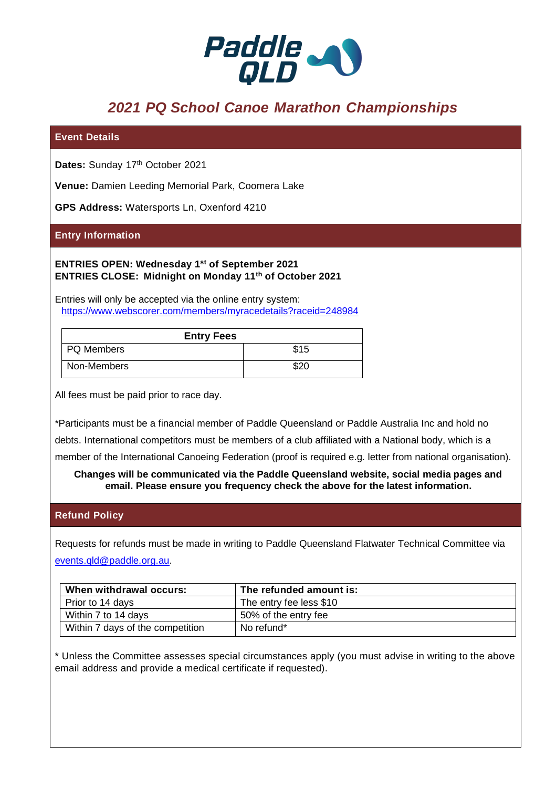

# *2021 PQ School Canoe Marathon Championships*

## **Event Details**

Dates: Sunday 17<sup>th</sup> October 2021

**Venue:** Damien Leeding Memorial Park, Coomera Lake

**GPS Address:** Watersports Ln, Oxenford 4210

## **Entry Information**

**ENTRIES OPEN: Wednesday 1st of September 2021 ENTRIES CLOSE: Midnight on Monday 11th of October 2021**

Entries will only be accepted via the online entry system: <https://www.webscorer.com/members/myracedetails?raceid=248984>

| <b>Entry Fees</b> |      |
|-------------------|------|
| PQ Members        | \$15 |
| Non-Members       | \$20 |

All fees must be paid prior to race day.

\*Participants must be a financial member of Paddle Queensland or Paddle Australia Inc and hold no

debts. International competitors must be members of a club affiliated with a National body, which is a

member of the International Canoeing Federation (proof is required e.g. letter from national organisation).

**Changes will be communicated via the Paddle Queensland website, social media pages and email. Please ensure you frequency check the above for the latest information.**

#### **Refund Policy**

Requests for refunds must be made in writing to Paddle Queensland Flatwater Technical Committee via [events.qld@paddle.org.au.](mailto:events.qld@paddle.org.au)

| When withdrawal occurs:          | The refunded amount is: |
|----------------------------------|-------------------------|
| Prior to 14 days                 | The entry fee less \$10 |
| Within 7 to 14 days              | 50% of the entry fee    |
| Within 7 days of the competition | No refund*              |

\* Unless the Committee assesses special circumstances apply (you must advise in writing to the above email address and provide a medical certificate if requested).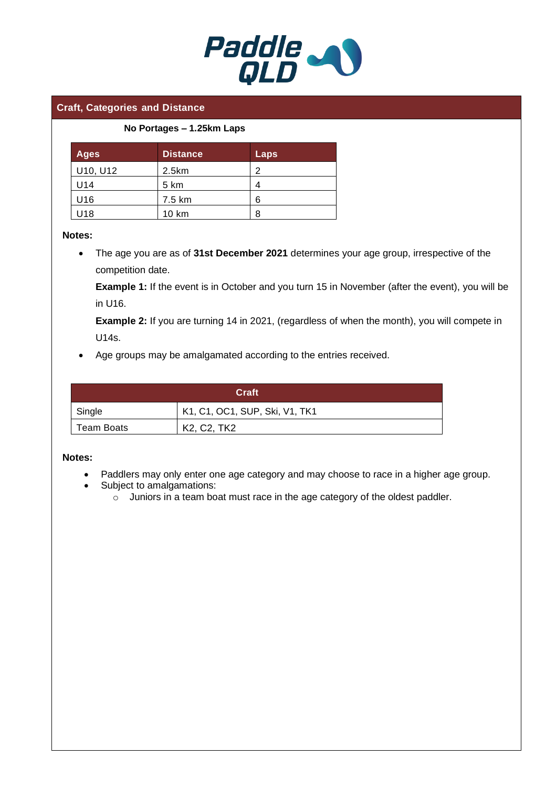

## **Craft, Categories and Distance**

#### **No Portages – 1.25km Laps**

| <b>Ages</b> | <b>Distance</b> | Laps |
|-------------|-----------------|------|
| U10, U12    | 2.5km           | っ    |
| U14         | 5 km            | 4    |
| U16         | 7.5 km          | 6    |
| U18         | 10 km           | 8    |

#### **Notes:**

• The age you are as of **31st December 2021** determines your age group, irrespective of the competition date.

**Example 1:** If the event is in October and you turn 15 in November (after the event), you will be in U16.

**Example 2:** If you are turning 14 in 2021, (regardless of when the month), you will compete in U14s.

• Age groups may be amalgamated according to the entries received.

| Craft      |                                                              |  |  |
|------------|--------------------------------------------------------------|--|--|
| Single     | K1, C1, OC1, SUP, Ski, V1, TK1                               |  |  |
| Team Boats | K <sub>2</sub> , C <sub>2</sub> , T <sub>K<sub>2</sub></sub> |  |  |

#### **Notes:**

- Paddlers may only enter one age category and may choose to race in a higher age group.
- Subject to amalgamations:
	- o Juniors in a team boat must race in the age category of the oldest paddler.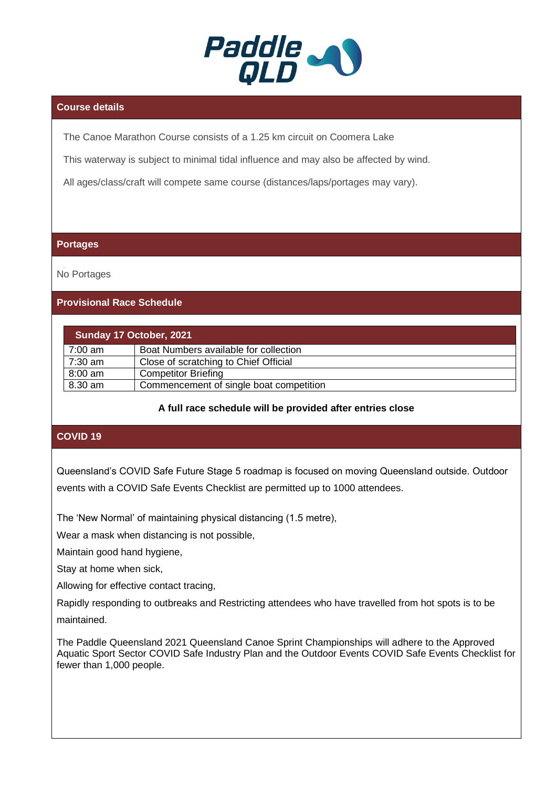

# **Course details**

The Canoe Marathon Course consists of a 1.25 km circuit on Coomera Lake

This waterway is subject to minimal tidal influence and may also be affected by wind.

All ages/class/craft will compete same course (distances/laps/portages may vary).

#### **Portages**

No Portages

# **Provisional Race Schedule**

| Sunday 17 October, 2021 |                                         |  |
|-------------------------|-----------------------------------------|--|
| $7:00 \text{ am}$       | Boat Numbers available for collection   |  |
| 7:30 am                 | Close of scratching to Chief Official   |  |
| $8:00$ am               | <b>Competitor Briefing</b>              |  |
| 8.30 am                 | Commencement of single boat competition |  |

# **A full race schedule will be provided after entries close**

# **COVID 19**

Queensland's COVID Safe Future Stage 5 roadmap is focused on moving Queensland outside. Outdoor events with a COVID Safe Events Checklist are permitted up to 1000 attendees.

The 'New Normal' of maintaining physical distancing (1.5 metre),

Wear a mask when distancing is not possible,

Maintain good hand hygiene,

Stay at home when sick,

Allowing for effective contact tracing,

Rapidly responding to outbreaks and Restricting attendees who have travelled from hot spots is to be maintained.

The Paddle Queensland 2021 Queensland Canoe Sprint Championships will adhere to the Approved Aquatic Sport Sector COVID Safe Industry Plan and the Outdoor Events COVID Safe Events Checklist for fewer than 1,000 people.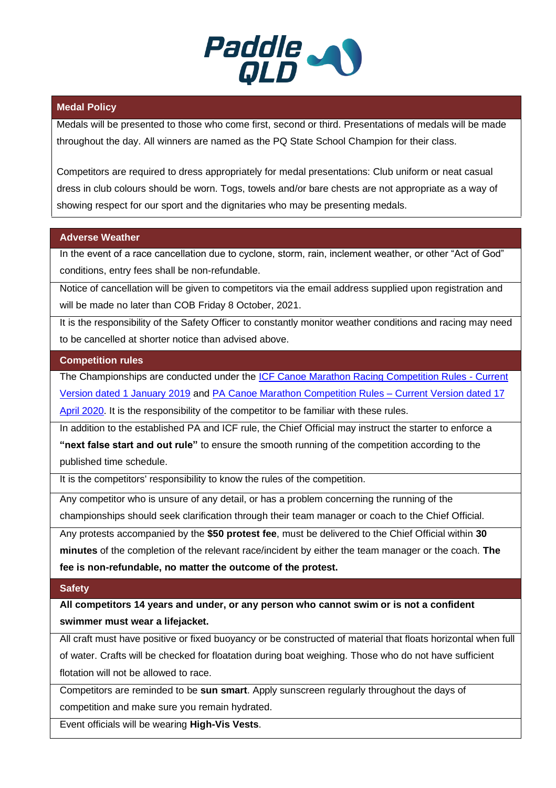

# **Medal Policy**

Medals will be presented to those who come first, second or third. Presentations of medals will be made throughout the day. All winners are named as the PQ State School Champion for their class.

Competitors are required to dress appropriately for medal presentations: Club uniform or neat casual dress in club colours should be worn. Togs, towels and/or bare chests are not appropriate as a way of showing respect for our sport and the dignitaries who may be presenting medals.

# **Adverse Weather**

In the event of a race cancellation due to cyclone, storm, rain, inclement weather, or other "Act of God" conditions, entry fees shall be non-refundable.

Notice of cancellation will be given to competitors via the email address supplied upon registration and will be made no later than COB Friday 8 October, 2021.

It is the responsibility of the Safety Officer to constantly monitor weather conditions and racing may need to be cancelled at shorter notice than advised above.

#### **Competition rules**

The Championships are conducted under the ICF Canoe Marathon [Racing Competition Rules -](https://www.canoeicf.com/sites/default/files/rules_marathon_2019.pdf) Current [Version dated 1 January 2019](https://www.canoeicf.com/sites/default/files/rules_marathon_2019.pdf) and PA Canoe Marathon Competition Rules – [Current Version dated 17](https://paddle.org.au/wp-content/uploads/2020/04/PA-Canoe-Marathon-Racing-Rules.pdf)  [April 2020.](https://paddle.org.au/wp-content/uploads/2020/04/PA-Canoe-Marathon-Racing-Rules.pdf) It is the responsibility of the competitor to be familiar with these rules.

In addition to the established PA and ICF rule, the Chief Official may instruct the starter to enforce a **"next false start and out rule"** to ensure the smooth running of the competition according to the published time schedule.

It is the competitors' responsibility to know the rules of the competition.

Any competitor who is unsure of any detail, or has a problem concerning the running of the championships should seek clarification through their team manager or coach to the Chief Official.

Any protests accompanied by the **\$50 protest fee**, must be delivered to the Chief Official within **30 minutes** of the completion of the relevant race/incident by either the team manager or the coach. **The fee is non-refundable, no matter the outcome of the protest.**

#### **Safety**

**All competitors 14 years and under, or any person who cannot swim or is not a confident swimmer must wear a lifejacket.** 

All craft must have positive or fixed buoyancy or be constructed of material that floats horizontal when full of water. Crafts will be checked for floatation during boat weighing. Those who do not have sufficient flotation will not be allowed to race.

Competitors are reminded to be **sun smart**. Apply sunscreen regularly throughout the days of competition and make sure you remain hydrated.

Event officials will be wearing **High-Vis Vests**.